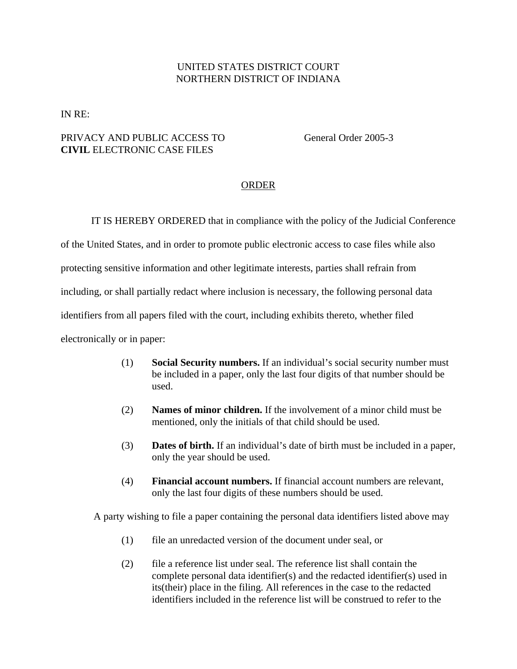## UNITED STATES DISTRICT COURT NORTHERN DISTRICT OF INDIANA

IN RE:

## PRIVACY AND PUBLIC ACCESS TO General Order 2005-3 **CIVIL** ELECTRONIC CASE FILES

## ORDER

IT IS HEREBY ORDERED that in compliance with the policy of the Judicial Conference

of the United States, and in order to promote public electronic access to case files while also

protecting sensitive information and other legitimate interests, parties shall refrain from

including, or shall partially redact where inclusion is necessary, the following personal data

identifiers from all papers filed with the court, including exhibits thereto, whether filed

electronically or in paper:

- (1) **Social Security numbers.** If an individual's social security number must be included in a paper, only the last four digits of that number should be used.
- (2) **Names of minor children.** If the involvement of a minor child must be mentioned, only the initials of that child should be used.
- (3) **Dates of birth.** If an individual's date of birth must be included in a paper, only the year should be used.
- (4) **Financial account numbers.** If financial account numbers are relevant, only the last four digits of these numbers should be used.

A party wishing to file a paper containing the personal data identifiers listed above may

- (1) file an unredacted version of the document under seal, or
- (2) file a reference list under seal. The reference list shall contain the complete personal data identifier(s) and the redacted identifier(s) used in its(their) place in the filing. All references in the case to the redacted identifiers included in the reference list will be construed to refer to the